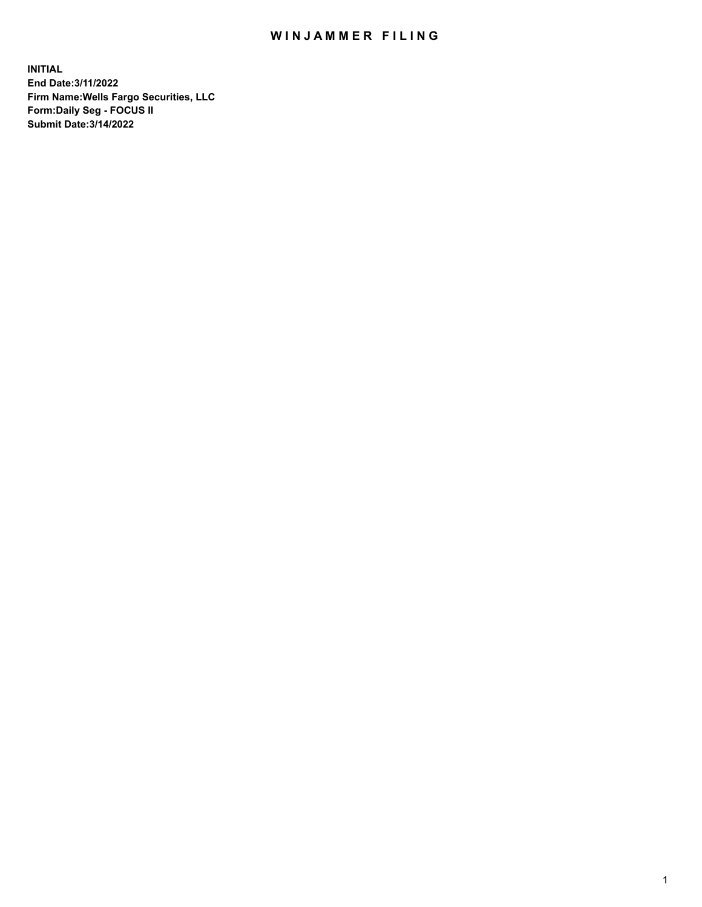## WIN JAMMER FILING

**INITIAL End Date:3/11/2022 Firm Name:Wells Fargo Securities, LLC Form:Daily Seg - FOCUS II Submit Date:3/14/2022**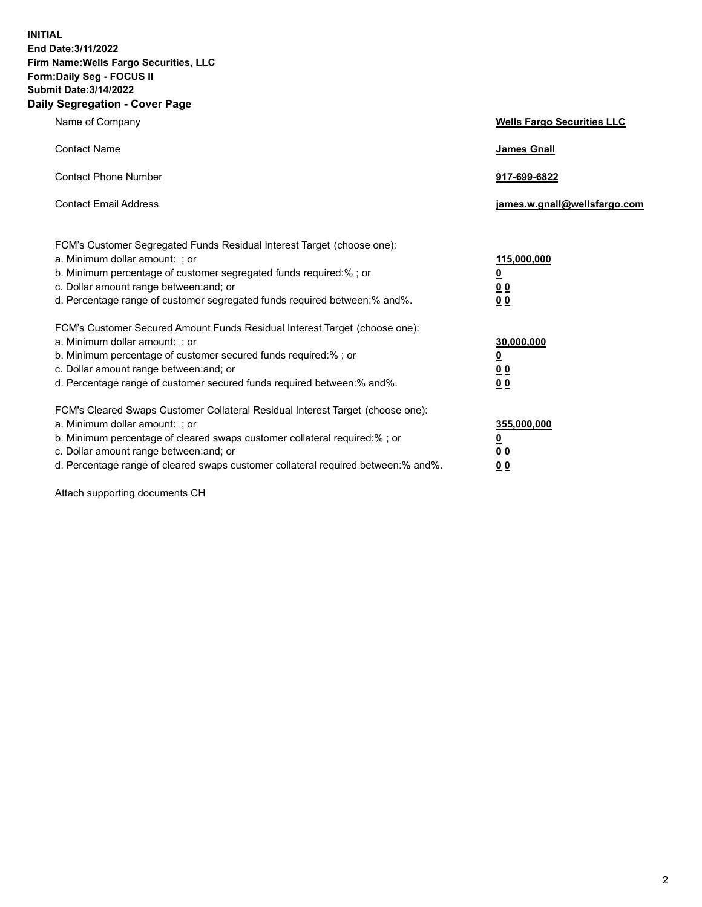**INITIAL End Date:3/11/2022 Firm Name:Wells Fargo Securities, LLC Form:Daily Seg - FOCUS II Submit Date:3/14/2022 Daily Segregation - Cover Page**

| Name of Company                                                                                                                                                                                                                                                                                                                | <b>Wells Fargo Securities LLC</b>                          |
|--------------------------------------------------------------------------------------------------------------------------------------------------------------------------------------------------------------------------------------------------------------------------------------------------------------------------------|------------------------------------------------------------|
| <b>Contact Name</b>                                                                                                                                                                                                                                                                                                            | <b>James Gnall</b>                                         |
| <b>Contact Phone Number</b>                                                                                                                                                                                                                                                                                                    | 917-699-6822                                               |
| <b>Contact Email Address</b>                                                                                                                                                                                                                                                                                                   | james.w.gnall@wellsfargo.com                               |
| FCM's Customer Segregated Funds Residual Interest Target (choose one):<br>a. Minimum dollar amount: ; or<br>b. Minimum percentage of customer segregated funds required:% ; or<br>c. Dollar amount range between: and; or<br>d. Percentage range of customer segregated funds required between:% and%.                         | 115,000,000<br><u>0</u><br>0 <sub>0</sub><br>00            |
| FCM's Customer Secured Amount Funds Residual Interest Target (choose one):<br>a. Minimum dollar amount: ; or<br>b. Minimum percentage of customer secured funds required:%; or<br>c. Dollar amount range between: and; or<br>d. Percentage range of customer secured funds required between:% and%.                            | 30,000,000<br><u>0</u><br>0 <sub>0</sub><br>0 <sub>0</sub> |
| FCM's Cleared Swaps Customer Collateral Residual Interest Target (choose one):<br>a. Minimum dollar amount: ; or<br>b. Minimum percentage of cleared swaps customer collateral required:% ; or<br>c. Dollar amount range between: and; or<br>d. Percentage range of cleared swaps customer collateral required between:% and%. | 355,000,000<br><u>0</u><br>00<br>00                        |

Attach supporting documents CH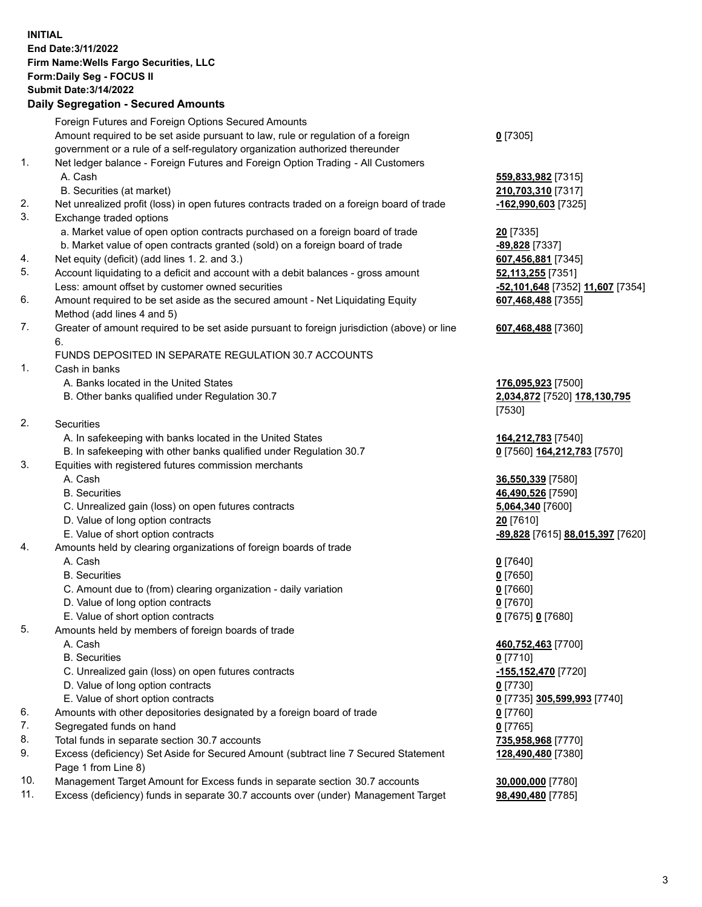**INITIAL End Date:3/11/2022 Firm Name:Wells Fargo Securities, LLC Form:Daily Seg - FOCUS II Submit Date:3/14/2022**

## **Daily Segregation - Secured Amounts**

|    | Foreign Futures and Foreign Options Secured Amounts                                         |                                  |
|----|---------------------------------------------------------------------------------------------|----------------------------------|
|    | Amount required to be set aside pursuant to law, rule or regulation of a foreign            | $0$ [7305]                       |
|    | government or a rule of a self-regulatory organization authorized thereunder                |                                  |
| 1. | Net ledger balance - Foreign Futures and Foreign Option Trading - All Customers             |                                  |
|    | A. Cash                                                                                     | 559,833,982 [7315]               |
|    | B. Securities (at market)                                                                   | 210,703,310 [7317]               |
| 2. | Net unrealized profit (loss) in open futures contracts traded on a foreign board of trade   | -162,990,603 [7325]              |
| 3. | Exchange traded options                                                                     |                                  |
|    | a. Market value of open option contracts purchased on a foreign board of trade              | 20 [7335]                        |
|    | b. Market value of open contracts granted (sold) on a foreign board of trade                | -89,828 [7337]                   |
| 4. | Net equity (deficit) (add lines 1. 2. and 3.)                                               | 607,456,881 [7345]               |
| 5. | Account liquidating to a deficit and account with a debit balances - gross amount           | 52,113,255 [7351]                |
|    | Less: amount offset by customer owned securities                                            | -52,101,648 [7352] 11,607 [7354] |
| 6. | Amount required to be set aside as the secured amount - Net Liquidating Equity              | 607,468,488 [7355]               |
|    | Method (add lines 4 and 5)                                                                  |                                  |
| 7. | Greater of amount required to be set aside pursuant to foreign jurisdiction (above) or line | 607,468,488 [7360]               |
|    | 6.                                                                                          |                                  |
|    | FUNDS DEPOSITED IN SEPARATE REGULATION 30.7 ACCOUNTS                                        |                                  |
| 1. | Cash in banks                                                                               |                                  |
|    | A. Banks located in the United States                                                       | 176,095,923 [7500]               |
|    | B. Other banks qualified under Regulation 30.7                                              | 2,034,872 [7520] 178,130,795     |
|    |                                                                                             | [7530]                           |
| 2. | Securities                                                                                  |                                  |
|    | A. In safekeeping with banks located in the United States                                   | 164,212,783 [7540]               |
|    | B. In safekeeping with other banks qualified under Regulation 30.7                          | 0 [7560] 164,212,783 [7570]      |
| 3. | Equities with registered futures commission merchants                                       |                                  |
|    | A. Cash                                                                                     | 36,550,339 [7580]                |
|    | <b>B.</b> Securities                                                                        | 46,490,526 [7590]                |
|    | C. Unrealized gain (loss) on open futures contracts                                         | 5,064,340 [7600]                 |
|    | D. Value of long option contracts                                                           | 20 [7610]                        |
|    | E. Value of short option contracts                                                          | -89,828 [7615] 88,015,397 [7620] |
| 4. | Amounts held by clearing organizations of foreign boards of trade                           |                                  |
|    | A. Cash                                                                                     | $0$ [7640]                       |
|    | <b>B.</b> Securities                                                                        | $0$ [7650]                       |
|    | C. Amount due to (from) clearing organization - daily variation                             | $0$ [7660]                       |
|    | D. Value of long option contracts                                                           | $0$ [7670]                       |
|    | E. Value of short option contracts                                                          | 0 [7675] 0 [7680]                |
| 5. | Amounts held by members of foreign boards of trade                                          |                                  |
|    | A. Cash                                                                                     | 460,752,463 [7700]               |
|    | <b>B.</b> Securities                                                                        | $0$ [7710]                       |
|    | C. Unrealized gain (loss) on open futures contracts                                         | $-155,152,470$ [7720]            |
|    | D. Value of long option contracts                                                           | $0$ [7730]                       |
|    | E. Value of short option contracts                                                          | 0 [7735] 305,599,993 [7740]      |
| 6. | Amounts with other depositories designated by a foreign board of trade                      | 0 [7760]                         |
| 7. | Segregated funds on hand                                                                    | $0$ [7765]                       |
| 8. | Total funds in separate section 30.7 accounts                                               | 735,958,968 [7770]               |
| 9. | Excess (deficiency) Set Aside for Secured Amount (subtract line 7 Secured Statement         | 128,490,480 [7380]               |
|    | Page 1 from Line 8)                                                                         |                                  |

- 10. Management Target Amount for Excess funds in separate section 30.7 accounts **30,000,000** [7780]
- 11. Excess (deficiency) funds in separate 30.7 accounts over (under) Management Target **98,490,480** [7785]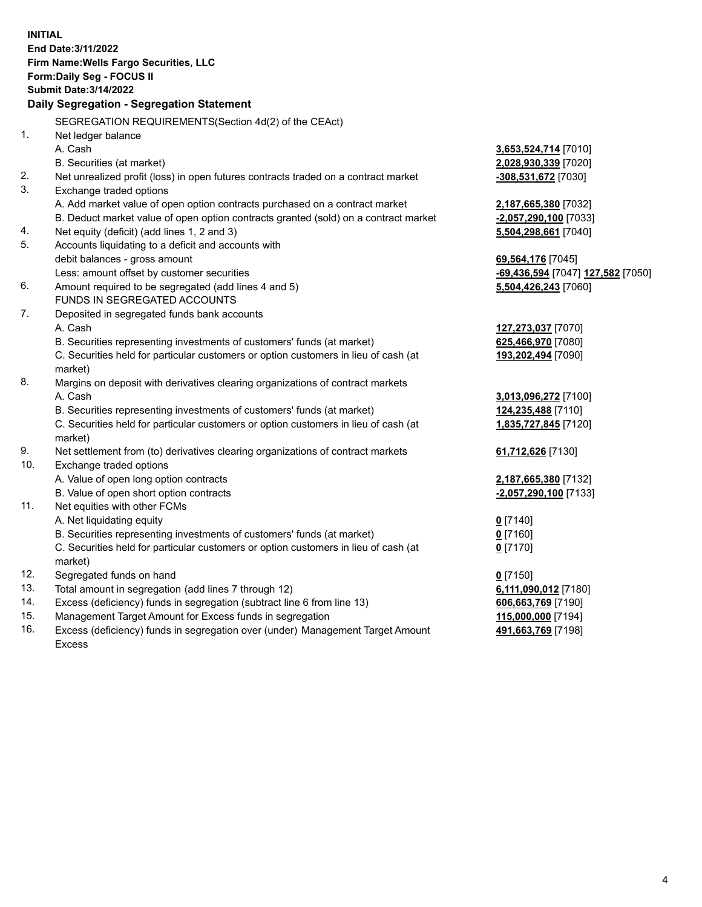**INITIAL End Date:3/11/2022 Firm Name:Wells Fargo Securities, LLC Form:Daily Seg - FOCUS II Submit Date:3/14/2022 Daily Segregation - Segregation Statement** SEGREGATION REQUIREMENTS(Section 4d(2) of the CEAct) 1. Net ledger balance A. Cash **3,653,524,714** [7010] B. Securities (at market) **2,028,930,339** [7020] 2. Net unrealized profit (loss) in open futures contracts traded on a contract market **-308,531,672** [7030] 3. Exchange traded options A. Add market value of open option contracts purchased on a contract market **2,187,665,380** [7032] B. Deduct market value of open option contracts granted (sold) on a contract market **-2,057,290,100** [7033] 4. Net equity (deficit) (add lines 1, 2 and 3) **5,504,298,661** [7040] 5. Accounts liquidating to a deficit and accounts with debit balances - gross amount **69,564,176** [7045] Less: amount offset by customer securities **-69,436,594** [7047] **127,582** [7050] 6. Amount required to be segregated (add lines 4 and 5) **5,504,426,243** [7060] FUNDS IN SEGREGATED ACCOUNTS 7. Deposited in segregated funds bank accounts A. Cash **127,273,037** [7070] B. Securities representing investments of customers' funds (at market) **625,466,970** [7080] C. Securities held for particular customers or option customers in lieu of cash (at market) **193,202,494** [7090] 8. Margins on deposit with derivatives clearing organizations of contract markets A. Cash **3,013,096,272** [7100] B. Securities representing investments of customers' funds (at market) **124,235,488** [7110] C. Securities held for particular customers or option customers in lieu of cash (at market) **1,835,727,845** [7120] 9. Net settlement from (to) derivatives clearing organizations of contract markets **61,712,626** [7130] 10. Exchange traded options A. Value of open long option contracts **2,187,665,380** [7132] B. Value of open short option contracts **-2,057,290,100** [7133] 11. Net equities with other FCMs A. Net liquidating equity **0** [7140] B. Securities representing investments of customers' funds (at market) **0** [7160] C. Securities held for particular customers or option customers in lieu of cash (at market) **0** [7170] 12. Segregated funds on hand **0** [7150] 13. Total amount in segregation (add lines 7 through 12) **6,111,090,012** [7180] 14. Excess (deficiency) funds in segregation (subtract line 6 from line 13) **606,663,769** [7190] 15. Management Target Amount for Excess funds in segregation **115,000,000** [7194]

16. Excess (deficiency) funds in segregation over (under) Management Target Amount Excess

**491,663,769** [7198]